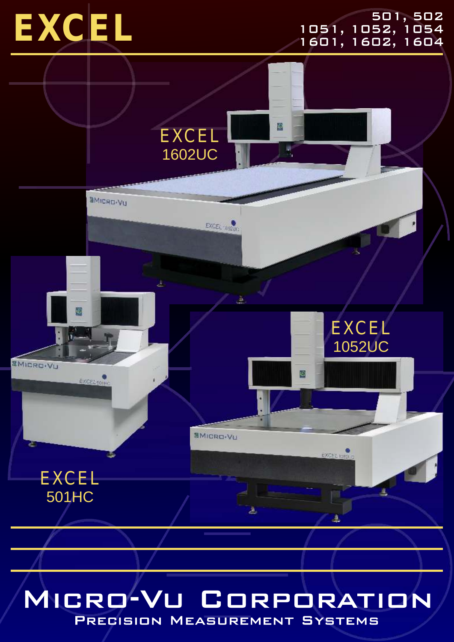

#### 501, 502 1051, 1052, 1054<br>1601, 1602, 1604



### MICRO-VU CORPORATION

PRECISION MEASUREMENT SYSTEMS